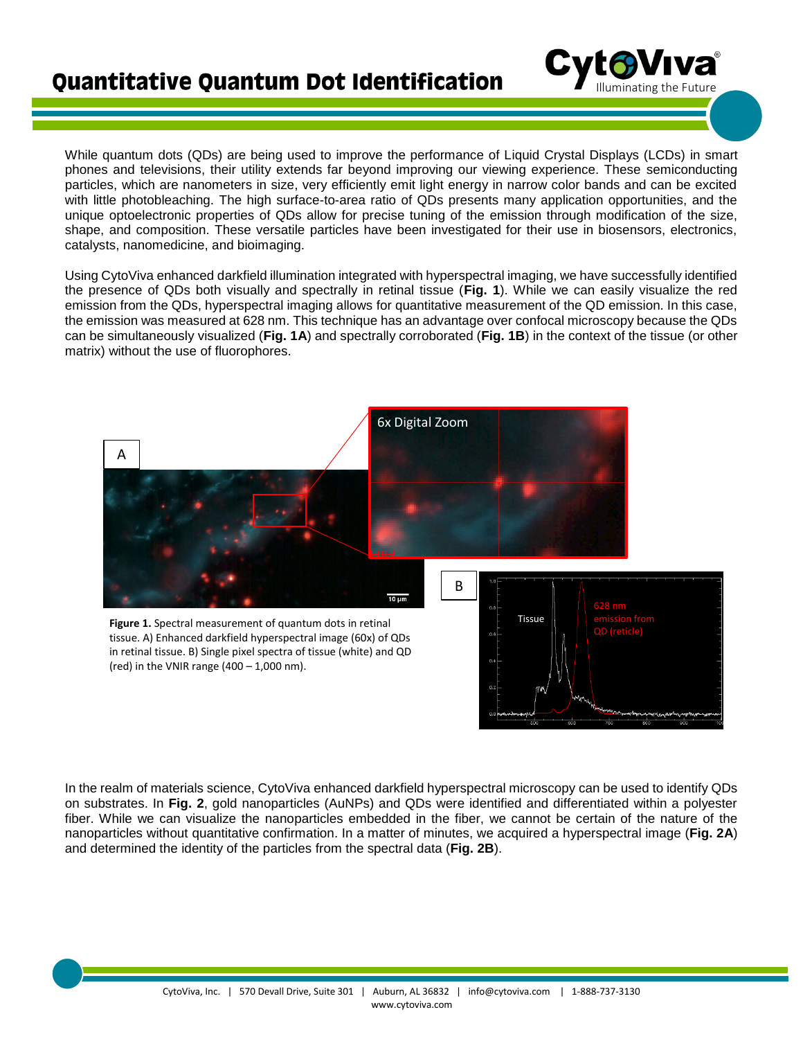

While quantum dots (QDs) are being used to improve the performance of Liquid Crystal Displays (LCDs) in smart phones and televisions, their utility extends far beyond improving our viewing experience. These semiconducting particles, which are nanometers in size, very efficiently emit light energy in narrow color bands and can be excited with little photobleaching. The high surface-to-area ratio of QDs presents many application opportunities, and the unique optoelectronic properties of QDs allow for precise tuning of the emission through modification of the size, shape, and composition. These versatile particles have been investigated for their use in biosensors, electronics, catalysts, nanomedicine, and bioimaging.

Using CytoViva enhanced darkfield illumination integrated with hyperspectral imaging, we have successfully identified the presence of QDs both visually and spectrally in retinal tissue (**Fig. 1**). While we can easily visualize the red emission from the QDs, hyperspectral imaging allows for quantitative measurement of the QD emission. In this case, the emission was measured at 628 nm. This technique has an advantage over confocal microscopy because the QDs can be simultaneously visualized (**Fig. 1A**) and spectrally corroborated (**Fig. 1B**) in the context of the tissue (or other matrix) without the use of fluorophores.



In the realm of materials science, CytoViva enhanced darkfield hyperspectral microscopy can be used to identify QDs on substrates. In **Fig. 2**, gold nanoparticles (AuNPs) and QDs were identified and differentiated within a polyester fiber. While we can visualize the nanoparticles embedded in the fiber, we cannot be certain of the nature of the nanoparticles without quantitative confirmation. In a matter of minutes, we acquired a hyperspectral image (**Fig. 2A**) and determined the identity of the particles from the spectral data (**Fig. 2B**).